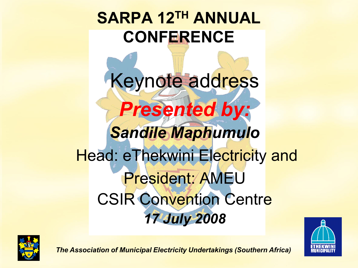#### **SARPA 12TH ANNUAL CONFERENCE**

Keynote address *Presented by: Sandile Maphumulo* Head: eThekwini Electricity and President: AMEU CSIR Convention Centre *17 July 2008*



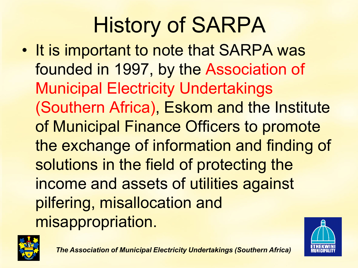# History of SARPA

• It is important to note that SARPA was founded in 1997, by the Association of Municipal Electricity Undertakings (Southern Africa), Eskom and the Institute of Municipal Finance Officers to promote the exchange of information and finding of solutions in the field of protecting the income and assets of utilities against pilfering, misallocation and misappropriation.



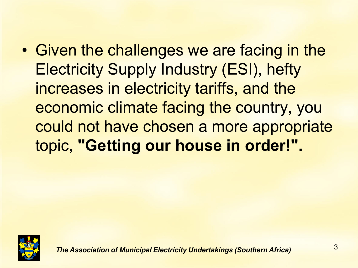• Given the challenges we are facing in the Electricity Supply Industry (ESI), hefty increases in electricity tariffs, and the economic climate facing the country, you could not have chosen a more appropriate topic, **"Getting our house in order!".**

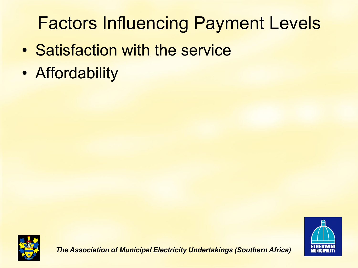## Factors Influencing Payment Levels

- Satisfaction with the service
- Affordability



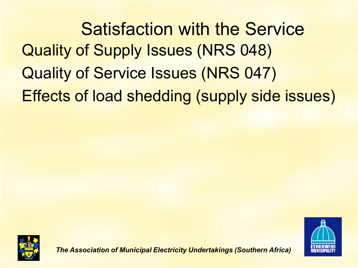Quality of Supply Issues (NRS 048) Quality of Service Issues (NRS 047) Effects of load shedding (supply side issues) Satisfaction with the Service



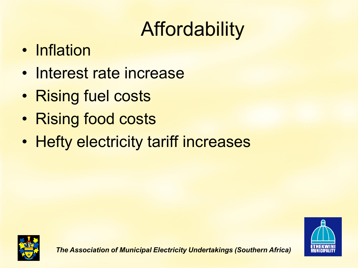## Affordability

- Inflation
- Interest rate increase
- Rising fuel costs
- Rising food costs
- Hefty electricity tariff increases



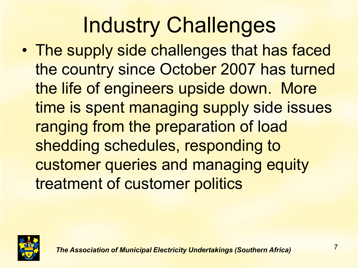## Industry Challenges

• The supply side challenges that has faced the country since October 2007 has turned the life of engineers upside down. More time is spent managing supply side issues ranging from the preparation of load shedding schedules, responding to customer queries and managing equity treatment of customer politics

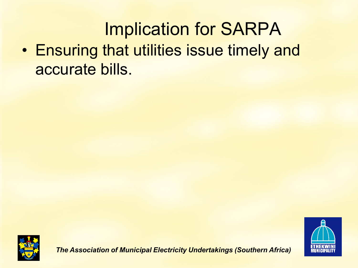### Implication for SARPA

• Ensuring that utilities issue timely and accurate bills.



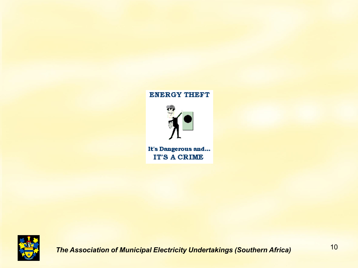#### **ENERGY THEFT**

It's Dangerous and... **IT'S A CRIME**